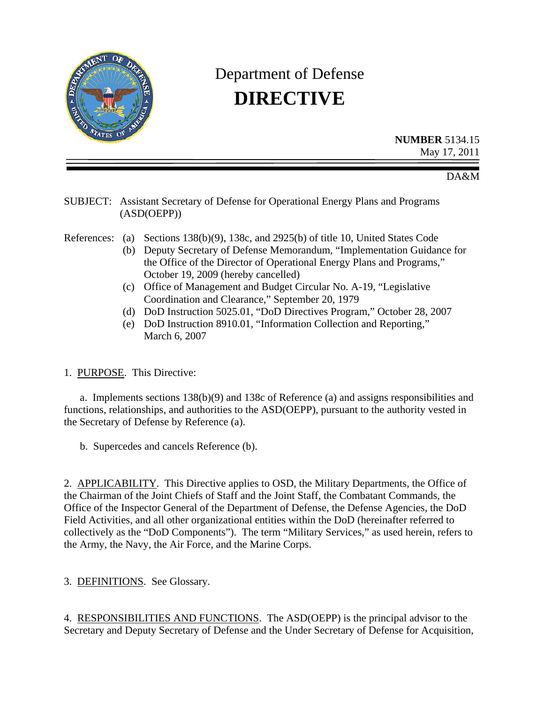

# Department of Defense **DIRECTIVE**

**NUMBER** 5134.15 May 17, 2011

DA&M

#### SUBJECT: Assistant Secretary of Defense for Operational Energy Plans and Programs (ASD(OEPP))

References: (a) Sections 138(b)(9), 138c, and 2925(b) of title 10, United States Code

- (b) Deputy Secretary of Defense Memorandum, "Implementation Guidance for the Office of the Director of Operational Energy Plans and Programs," October 19, 2009 (hereby cancelled)
- (c) Office of Management and Budget Circular No. A-19, "Legislative Coordination and Clearance," September 20, 1979
- (d) DoD Instruction 5025.01, "DoD Directives Program," October 28, 2007
- (e) DoD Instruction 8910.01, "Information Collection and Reporting," March 6, 2007

1. PURPOSE. This Directive:

 a. Implements sections 138(b)(9) and 138c of Reference (a) and assigns responsibilities and functions, relationships, and authorities to the ASD(OEPP), pursuant to the authority vested in the Secretary of Defense by Reference (a).

b. Supercedes and cancels Reference (b).

2. APPLICABILITY. This Directive applies to OSD, the Military Departments, the Office of the Chairman of the Joint Chiefs of Staff and the Joint Staff, the Combatant Commands, the Office of the Inspector General of the Department of Defense, the Defense Agencies, the DoD Field Activities, and all other organizational entities within the DoD (hereinafter referred to collectively as the "DoD Components"). The term "Military Services," as used herein, refers to the Army, the Navy, the Air Force, and the Marine Corps.

3. DEFINITIONS. See Glossary.

4. RESPONSIBILITIES AND FUNCTIONS. The ASD(OEPP) is the principal advisor to the Secretary and Deputy Secretary of Defense and the Under Secretary of Defense for Acquisition,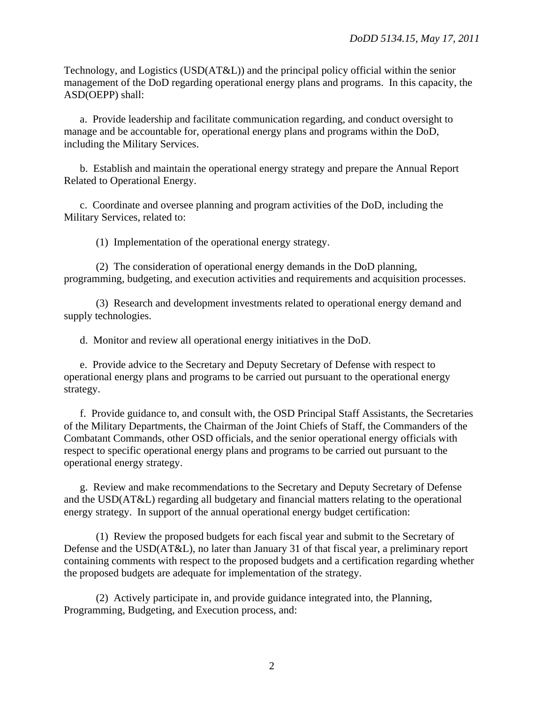Technology, and Logistics (USD(AT&L)) and the principal policy official within the senior management of the DoD regarding operational energy plans and programs. In this capacity, the ASD(OEPP) shall:

 a. Provide leadership and facilitate communication regarding, and conduct oversight to manage and be accountable for, operational energy plans and programs within the DoD, including the Military Services.

 b. Establish and maintain the operational energy strategy and prepare the Annual Report Related to Operational Energy.

 c. Coordinate and oversee planning and program activities of the DoD, including the Military Services, related to:

(1) Implementation of the operational energy strategy.

 (2) The consideration of operational energy demands in the DoD planning, programming, budgeting, and execution activities and requirements and acquisition processes.

 (3) Research and development investments related to operational energy demand and supply technologies.

d. Monitor and review all operational energy initiatives in the DoD.

 e. Provide advice to the Secretary and Deputy Secretary of Defense with respect to operational energy plans and programs to be carried out pursuant to the operational energy strategy.

 f. Provide guidance to, and consult with, the OSD Principal Staff Assistants, the Secretaries of the Military Departments, the Chairman of the Joint Chiefs of Staff, the Commanders of the Combatant Commands, other OSD officials, and the senior operational energy officials with respect to specific operational energy plans and programs to be carried out pursuant to the operational energy strategy.

 g. Review and make recommendations to the Secretary and Deputy Secretary of Defense and the USD(AT&L) regarding all budgetary and financial matters relating to the operational energy strategy. In support of the annual operational energy budget certification:

 (1) Review the proposed budgets for each fiscal year and submit to the Secretary of Defense and the USD(AT&L), no later than January 31 of that fiscal year, a preliminary report containing comments with respect to the proposed budgets and a certification regarding whether the proposed budgets are adequate for implementation of the strategy.

 (2) Actively participate in, and provide guidance integrated into, the Planning, Programming, Budgeting, and Execution process, and: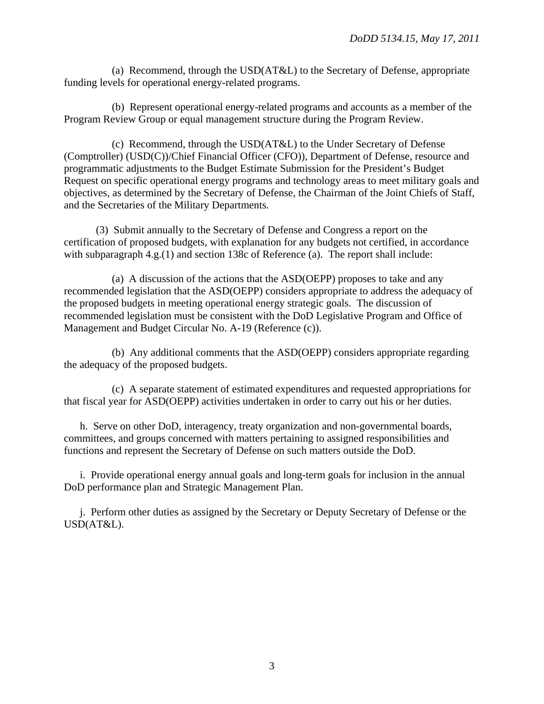(a) Recommend, through the USD(AT&L) to the Secretary of Defense, appropriate funding levels for operational energy-related programs.

 (b) Represent operational energy-related programs and accounts as a member of the Program Review Group or equal management structure during the Program Review.

 (c) Recommend, through the USD(AT&L) to the Under Secretary of Defense (Comptroller) (USD(C))/Chief Financial Officer (CFO)), Department of Defense, resource and programmatic adjustments to the Budget Estimate Submission for the President's Budget Request on specific operational energy programs and technology areas to meet military goals and objectives, as determined by the Secretary of Defense, the Chairman of the Joint Chiefs of Staff, and the Secretaries of the Military Departments.

 (3) Submit annually to the Secretary of Defense and Congress a report on the certification of proposed budgets, with explanation for any budgets not certified, in accordance with subparagraph 4.g.(1) and section 138c of Reference (a). The report shall include:

 (a) A discussion of the actions that the ASD(OEPP) proposes to take and any recommended legislation that the ASD(OEPP) considers appropriate to address the adequacy of the proposed budgets in meeting operational energy strategic goals. The discussion of recommended legislation must be consistent with the DoD Legislative Program and Office of Management and Budget Circular No. A-19 (Reference (c)).

 (b) Any additional comments that the ASD(OEPP) considers appropriate regarding the adequacy of the proposed budgets.

 (c) A separate statement of estimated expenditures and requested appropriations for that fiscal year for ASD(OEPP) activities undertaken in order to carry out his or her duties.

 h. Serve on other DoD, interagency, treaty organization and non-governmental boards, committees, and groups concerned with matters pertaining to assigned responsibilities and functions and represent the Secretary of Defense on such matters outside the DoD.

 i. Provide operational energy annual goals and long-term goals for inclusion in the annual DoD performance plan and Strategic Management Plan.

 j. Perform other duties as assigned by the Secretary or Deputy Secretary of Defense or the USD(AT&L).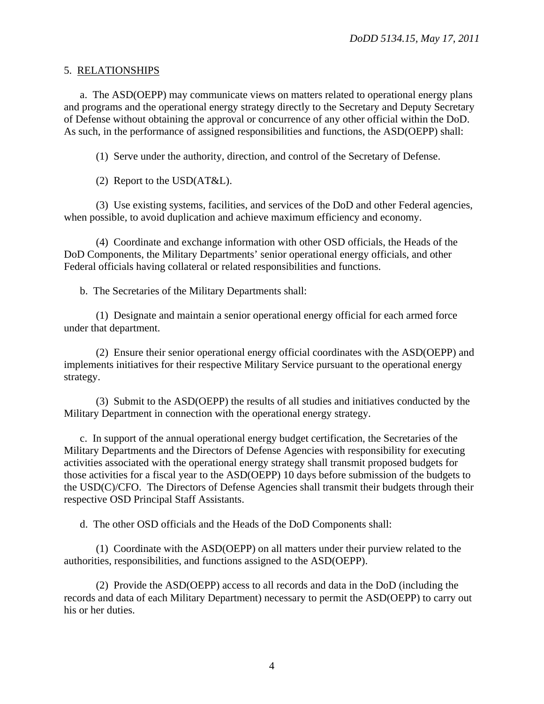#### 5. RELATIONSHIPS

 a. The ASD(OEPP) may communicate views on matters related to operational energy plans and programs and the operational energy strategy directly to the Secretary and Deputy Secretary of Defense without obtaining the approval or concurrence of any other official within the DoD. As such, in the performance of assigned responsibilities and functions, the ASD(OEPP) shall:

(1) Serve under the authority, direction, and control of the Secretary of Defense.

(2) Report to the USD(AT&L).

 (3) Use existing systems, facilities, and services of the DoD and other Federal agencies, when possible, to avoid duplication and achieve maximum efficiency and economy.

 (4) Coordinate and exchange information with other OSD officials, the Heads of the DoD Components, the Military Departments' senior operational energy officials, and other Federal officials having collateral or related responsibilities and functions.

b. The Secretaries of the Military Departments shall:

 (1) Designate and maintain a senior operational energy official for each armed force under that department.

 (2) Ensure their senior operational energy official coordinates with the ASD(OEPP) and implements initiatives for their respective Military Service pursuant to the operational energy strategy.

 (3) Submit to the ASD(OEPP) the results of all studies and initiatives conducted by the Military Department in connection with the operational energy strategy.

 c. In support of the annual operational energy budget certification, the Secretaries of the Military Departments and the Directors of Defense Agencies with responsibility for executing activities associated with the operational energy strategy shall transmit proposed budgets for those activities for a fiscal year to the ASD(OEPP) 10 days before submission of the budgets to the USD(C)/CFO. The Directors of Defense Agencies shall transmit their budgets through their respective OSD Principal Staff Assistants.

d. The other OSD officials and the Heads of the DoD Components shall:

 (1) Coordinate with the ASD(OEPP) on all matters under their purview related to the authorities, responsibilities, and functions assigned to the ASD(OEPP).

 (2) Provide the ASD(OEPP) access to all records and data in the DoD (including the records and data of each Military Department) necessary to permit the ASD(OEPP) to carry out his or her duties.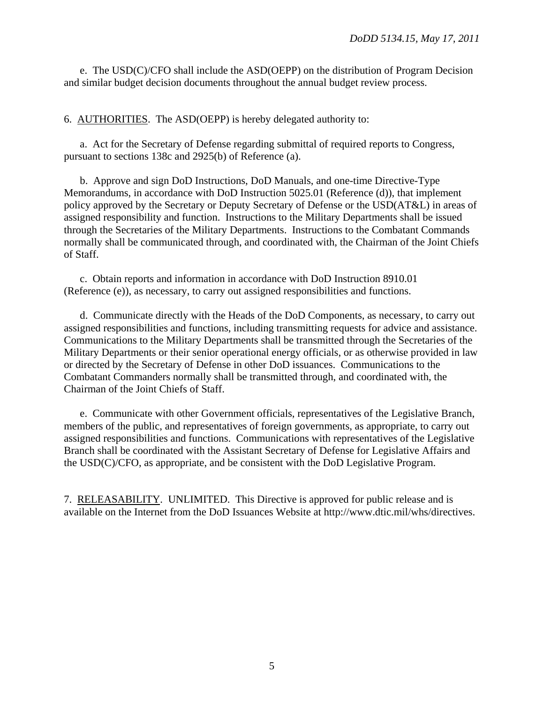e. The USD(C)/CFO shall include the ASD(OEPP) on the distribution of Program Decision and similar budget decision documents throughout the annual budget review process.

6. AUTHORITIES. The ASD(OEPP) is hereby delegated authority to:

 a. Act for the Secretary of Defense regarding submittal of required reports to Congress, pursuant to sections 138c and 2925(b) of Reference (a).

 b. Approve and sign DoD Instructions, DoD Manuals, and one-time Directive-Type Memorandums, in accordance with DoD Instruction 5025.01 (Reference (d)), that implement policy approved by the Secretary or Deputy Secretary of Defense or the USD(AT&L) in areas of assigned responsibility and function. Instructions to the Military Departments shall be issued through the Secretaries of the Military Departments. Instructions to the Combatant Commands normally shall be communicated through, and coordinated with, the Chairman of the Joint Chiefs of Staff.

 c. Obtain reports and information in accordance with DoD Instruction 8910.01 (Reference (e)), as necessary, to carry out assigned responsibilities and functions.

 d. Communicate directly with the Heads of the DoD Components, as necessary, to carry out assigned responsibilities and functions, including transmitting requests for advice and assistance. Communications to the Military Departments shall be transmitted through the Secretaries of the Military Departments or their senior operational energy officials, or as otherwise provided in law or directed by the Secretary of Defense in other DoD issuances. Communications to the Combatant Commanders normally shall be transmitted through, and coordinated with, the Chairman of the Joint Chiefs of Staff.

 e. Communicate with other Government officials, representatives of the Legislative Branch, members of the public, and representatives of foreign governments, as appropriate, to carry out assigned responsibilities and functions. Communications with representatives of the Legislative Branch shall be coordinated with the Assistant Secretary of Defense for Legislative Affairs and the USD(C)/CFO, as appropriate, and be consistent with the DoD Legislative Program.

7. RELEASABILITY. UNLIMITED. This Directive is approved for public release and is available on the Internet from the DoD Issuances Website at http://www.dtic.mil/whs/directives.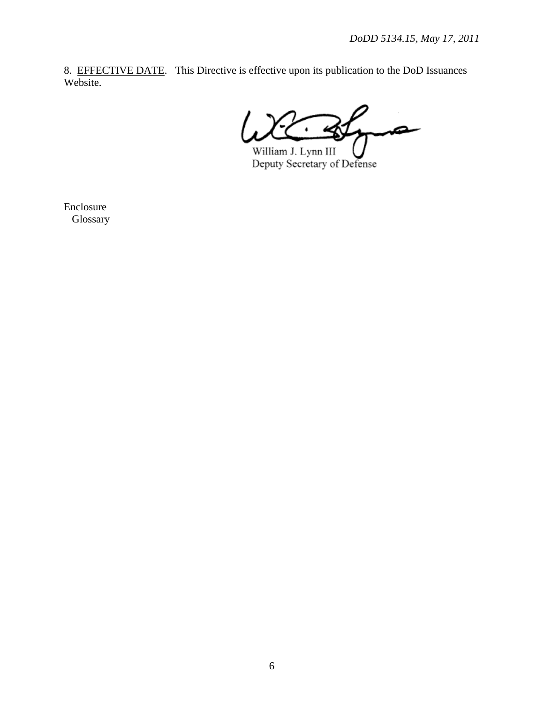8. EFFECTIVE DATE. This Directive is effective upon its publication to the DoD Issuances Website.

∞

William J. Lynn III U<br>Deputy Secretary of Defense

Enclosure Glossary